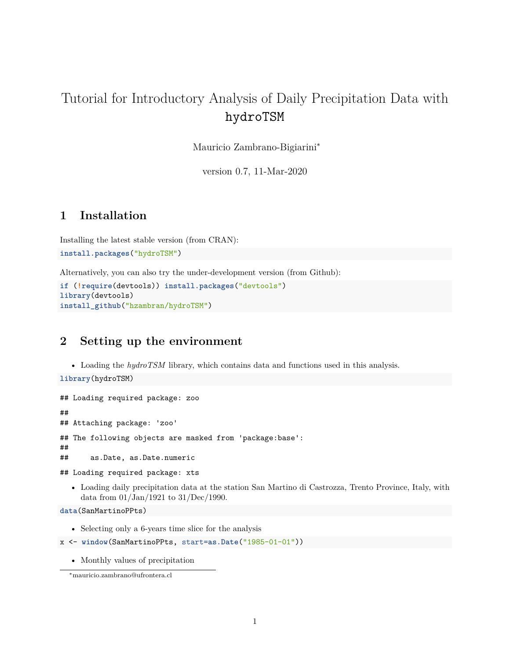# Tutorial for Introductory Analysis of Daily Precipitation Data with hydroTSM

Mauricio Zambrano-Bigiarini<sup>∗</sup>

version 0.7, 11-Mar-2020

### **1 Installation**

Installing the latest stable version (from [CRAN\)](http://cran.r-project.org/web/packages/hydroTSM/): **install.packages**("hydroTSM")

Alternatively, you can also try the under-development version (from [Github\)](https://github.com/hzambran/hydroTSM):

```
if (!require(devtools)) install.packages("devtools")
library(devtools)
install_github("hzambran/hydroTSM")
```
### **2 Setting up the environment**

• Loading the *hydroTSM* library, which contains data and functions used in this analysis.

**library**(hydroTSM)

```
## Loading required package: zoo
##
## Attaching package: 'zoo'
## The following objects are masked from 'package:base':
##
## as.Date, as.Date.numeric
```

```
## Loading required package: xts
```
• Loading daily precipitation data at the station San Martino di Castrozza, Trento Province, Italy, with data from 01/Jan/1921 to 31/Dec/1990.

**data**(SanMartinoPPts)

• Selecting only a 6-years time slice for the analysis

```
x <- window(SanMartinoPPts, start=as.Date("1985-01-01"))
```
• Monthly values of precipitation

<sup>∗</sup>[mauricio.zambrano@ufrontera.cl](mailto:mauricio.zambrano@ufrontera.cl)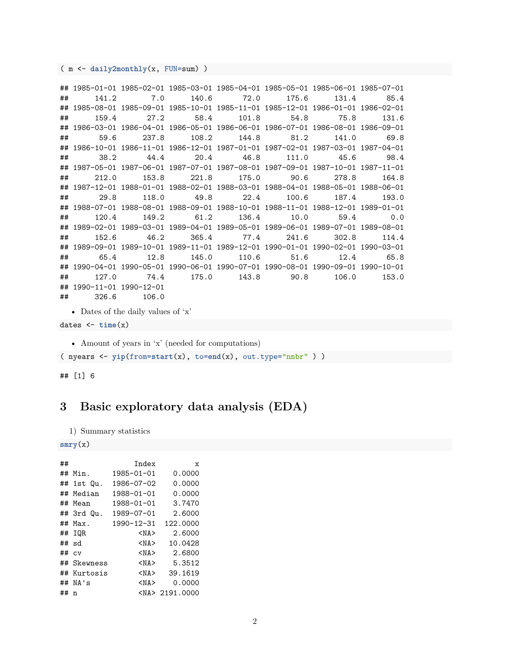( m <- **daily2monthly**(x, FUN=sum) )

```
## 1985-01-01 1985-02-01 1985-03-01 1985-04-01 1985-05-01 1985-06-01 1985-07-01
## 141.2 7.0 140.6 72.0 175.6 131.4 85.4
## 1985-08-01 1985-09-01 1985-10-01 1985-11-01 1985-12-01 1986-01-01 1986-02-01
## 159.4 27.2 58.4 101.8 54.8 75.8 131.6
## 1986-03-01 1986-04-01 1986-05-01 1986-06-01 1986-07-01 1986-08-01 1986-09-01
## 59.6 237.8 108.2 144.8 81.2 141.0 69.8
## 1986-10-01 1986-11-01 1986-12-01 1987-01-01 1987-02-01 1987-03-01 1987-04-01
## 38.2 44.4 20.4 46.8 111.0 45.6 98.4
## 1987-05-01 1987-06-01 1987-07-01 1987-08-01 1987-09-01 1987-10-01 1987-11-01
## 212.0 153.8 221.8 175.0 90.6 278.8 164.8
## 1987-12-01 1988-01-01 1988-02-01 1988-03-01 1988-04-01 1988-05-01 1988-06-01
## 29.8 118.0 49.8 22.4 100.6 187.4 193.0
## 1988-07-01 1988-08-01 1988-09-01 1988-10-01 1988-11-01 1988-12-01 1989-01-01
## 120.4 149.2 61.2 136.4 10.0 59.4 0.0
## 1989-02-01 1989-03-01 1989-04-01 1989-05-01 1989-06-01 1989-07-01 1989-08-01
## 152.6 46.2 365.4 77.4 241.6 302.8 114.4
## 1989-09-01 1989-10-01 1989-11-01 1989-12-01 1990-01-01 1990-02-01 1990-03-01
## 65.4 12.8 145.0 110.6 51.6 12.4 65.8
## 1990-04-01 1990-05-01 1990-06-01 1990-07-01 1990-08-01 1990-09-01 1990-10-01
## 127.0 74.4 175.0 143.8 90.8 106.0 153.0
## 1990-11-01 1990-12-01
## 326.6 106.0
```

```
• Dates of the daily values of 'x'
```

```
dates <- time(x)
```
• Amount of years in 'x' (needed for computations)

( nyears <- **yip**(from=**start**(x), to=**end**(x), out.type="nmbr" ) )

## [1] 6

### **3 Basic exploratory data analysis (EDA)**

```
1) Summary statistics
```

```
smry(x)
```

| ## |               | Index            | X                   |
|----|---------------|------------------|---------------------|
| ## | Min.          | $1985 - 01 - 01$ | 0.0000              |
|    | ## 1st Qu.    | 1986-07-02       | 0.0000              |
|    | ## Median     | 1988-01-01       | 0.0000              |
| ## | Mean          | 1988-01-01       | 3.7470              |
|    | ## 3rd Qu.    | $1989 - 07 - 01$ | 2.6000              |
| ## | Max.          | 1990-12-31       | 122.0000            |
| ## | IOR           | <na></na>        | 2.6000              |
| ## | sd            | <na></na>        | 10.0428             |
| ## | $\mathsf{cv}$ | <na></na>        | 2.6800              |
| ## | Skewness      | <na></na>        | 5.3512              |
|    | ## Kurtosis   | <na></na>        | 39.1619             |
| ## | NA's          | $<$ NA $>$       | 0.0000              |
| ## | n             |                  | <na> 2191.0000</na> |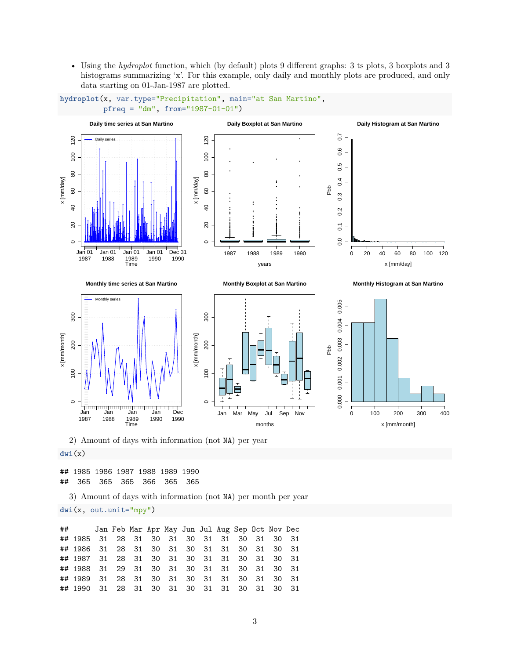• Using the *hydroplot* function, which (by default) plots 9 different graphs: 3 ts plots, 3 boxplots and 3 histograms summarizing 'x'. For this example, only daily and monthly plots are produced, and only data starting on 01-Jan-1987 are plotted.





#### **dwi**(x)

## 1985 1986 1987 1988 1989 1990 ## 365 365 365 366 365 365

3) Amount of days with information (not NA) per month per year

**dwi**(x, out.unit="mpy")

## Jan Feb Mar Apr May Jun Jul Aug Sep Oct Nov Dec ## 1985 31 28 31 30 31 30 31 31 30 31 30 31 ## 1986 31 28 31 30 31 30 31 31 30 31 30 31 ## 1987 31 28 31 30 31 30 31 31 30 31 30 31 ## 1988 31 29 31 30 31 30 31 31 30 31 30 31 ## 1989 31 28 31 30 31 30 31 31 30 31 30 31 ## 1990 31 28 31 30 31 30 31 31 30 31 30 31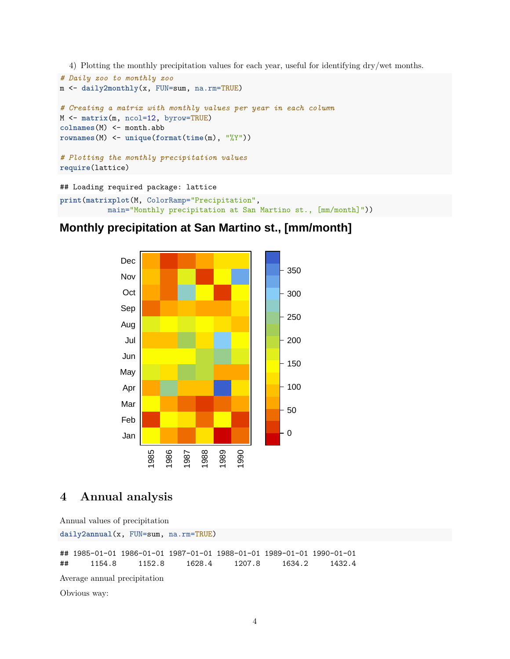4) Plotting the monthly precipitation values for each year, useful for identifying dry/wet months.

```
# Daily zoo to monthly zoo
m <- daily2monthly(x, FUN=sum, na.rm=TRUE)
# Creating a matrix with monthly values per year in each column
M <- matrix(m, ncol=12, byrow=TRUE)
colnames(M) <- month.abb
rownames(M) <- unique(format(time(m), "%Y"))
# Plotting the monthly precipitation values
require(lattice)
## Loading required package: lattice
```
**print**(**matrixplot**(M, ColorRamp="Precipitation", main="Monthly precipitation at San Martino st., [mm/month]"))

### **Monthly precipitation at San Martino st., [mm/month]**



### **4 Annual analysis**

Annual values of precipitation **daily2annual**(x, FUN=sum, na.rm=TRUE)

## 1985-01-01 1986-01-01 1987-01-01 1988-01-01 1989-01-01 1990-01-01 ## 1154.8 1152.8 1628.4 1207.8 1634.2 1432.4

Average annual precipitation

Obvious way: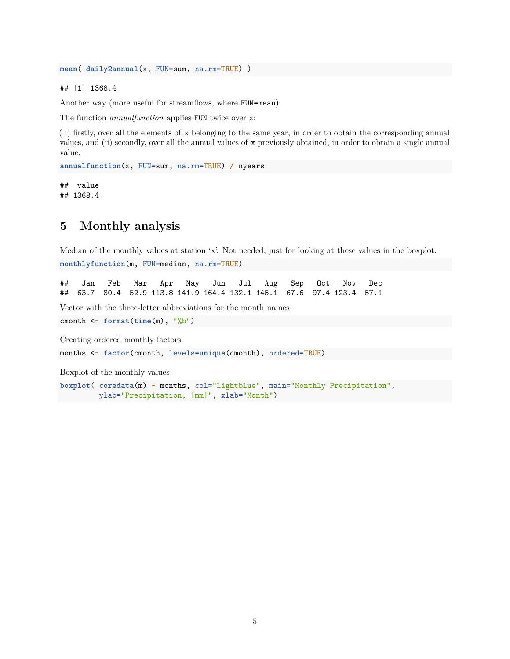**mean**( **daily2annual**(x, FUN=sum, na.rm=TRUE) )

## [1] 1368.4

Another way (more useful for streamflows, where FUN=mean):

The function *annualfunction* applies FUN twice over x:

( i) firstly, over all the elements of x belonging to the same year, in order to obtain the corresponding annual values, and (ii) secondly, over all the annual values of x previously obtained, in order to obtain a single annual value.

**annualfunction**(x, FUN=sum, na.rm=TRUE) **/** nyears

## value ## 1368.4

### **5 Monthly analysis**

Median of the monthly values at station 'x'. Not needed, just for looking at these values in the boxplot. **monthlyfunction**(m, FUN=median, na.rm=TRUE)

## Jan Feb Mar Apr May Jun Jul Aug Sep Oct Nov Dec ## 63.7 80.4 52.9 113.8 141.9 164.4 132.1 145.1 67.6 97.4 123.4 57.1

Vector with the three-letter abbreviations for the month names

cmonth <- **format**(**time**(m), "%b")

Creating ordered monthly factors

months <- **factor**(cmonth, levels=**unique**(cmonth), ordered=TRUE)

Boxplot of the monthly values

**boxplot**( **coredata**(m) **~** months, col="lightblue", main="Monthly Precipitation", ylab="Precipitation, [mm]", xlab="Month")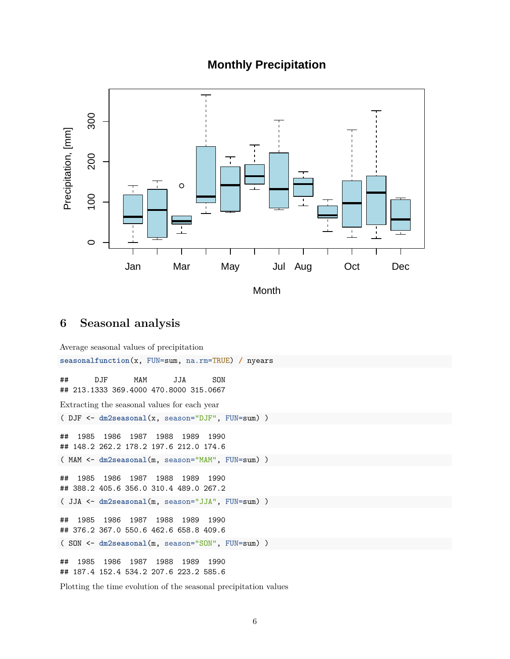### **Monthly Precipitation**



**Month** 

### **6 Seasonal analysis**

Average seasonal values of precipitation **seasonalfunction**(x, FUN=sum, na.rm=TRUE) **/** nyears ## DJF MAM JJA SON ## 213.1333 369.4000 470.8000 315.0667 Extracting the seasonal values for each year ( DJF <- **dm2seasonal**(x, season="DJF", FUN=sum) ) ## 1985 1986 1987 1988 1989 1990 ## 148.2 262.2 178.2 197.6 212.0 174.6 ( MAM <- **dm2seasonal**(m, season="MAM", FUN=sum) ) ## 1985 1986 1987 1988 1989 1990 ## 388.2 405.6 356.0 310.4 489.0 267.2 ( JJA <- **dm2seasonal**(m, season="JJA", FUN=sum) ) ## 1985 1986 1987 1988 1989 1990 ## 376.2 367.0 550.6 462.6 658.8 409.6 ( SON <- **dm2seasonal**(m, season="SON", FUN=sum) ) ## 1985 1986 1987 1988 1989 1990 ## 187.4 152.4 534.2 207.6 223.2 585.6

Plotting the time evolution of the seasonal precipitation values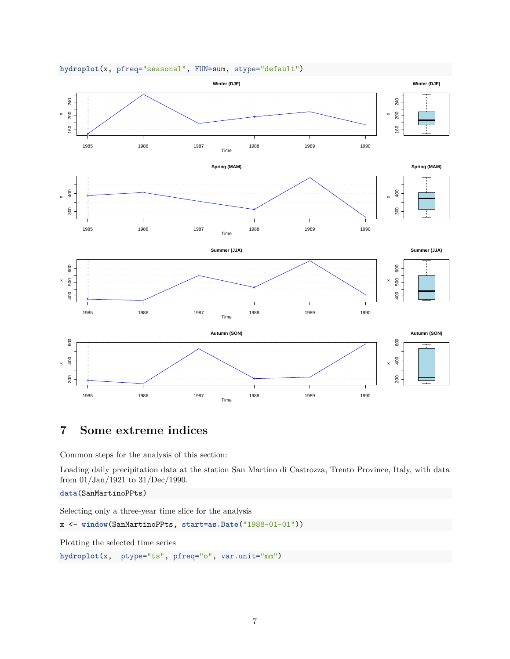

#### **hydroplot**(x, pfreq="seasonal", FUN=sum, stype="default")

# **7 Some extreme indices**

Common steps for the analysis of this section:

Loading daily precipitation data at the station San Martino di Castrozza, Trento Province, Italy, with data from 01/Jan/1921 to 31/Dec/1990.

**data**(SanMartinoPPts)

Selecting only a three-year time slice for the analysis

x <- **window**(SanMartinoPPts, start=**as.Date**("1988-01-01"))

Plotting the selected time series

**hydroplot**(x, ptype="ts", pfreq="o", var.unit="mm")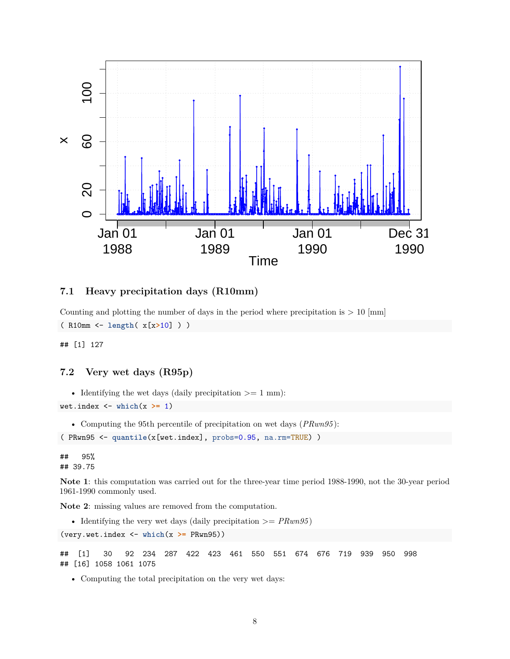

#### **7.1 Heavy precipitation days (R10mm)**

Counting and plotting the number of days in the period where precipitation is  $> 10$  [mm] ( R10mm <- **length**( x[x**>**10] ) )

## [1] 127

#### **7.2 Very wet days (R95p)**

• Identifying the wet days (daily precipitation  $\geq 1$  mm):

wet.index <- **which**(x **>=** 1)

• Computing the 95th percentile of precipitation on wet days (*PRwn95* ):

( PRwn95 <- **quantile**(x[wet.index], probs=0.95, na.rm=TRUE) )

## 95% ## 39.75

**Note 1**: this computation was carried out for the three-year time period 1988-1990, not the 30-year period 1961-1990 commonly used.

**Note 2**: missing values are removed from the computation.

```
• Identifying the very wet days (daily precipitation \geq PRun95)
```

```
(very.wet.index <- which(x >= PRwn95))
```
## [1] 30 92 234 287 422 423 461 550 551 674 676 719 939 950 998 ## [16] 1058 1061 1075

• Computing the total precipitation on the very wet days: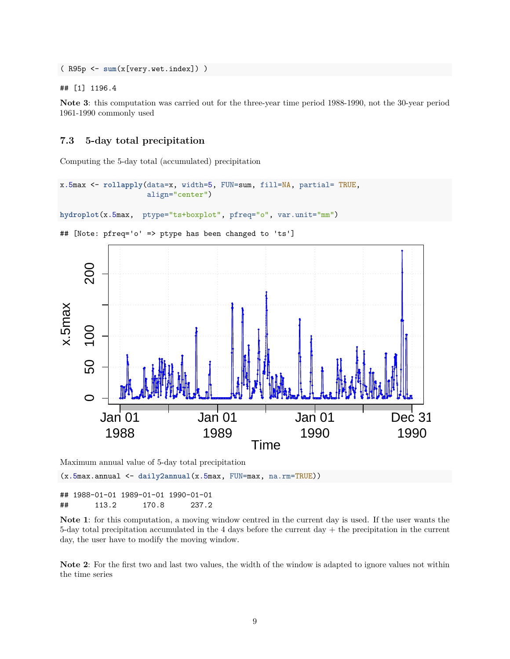( R95p <- **sum**(x[very.wet.index]) )

## [1] 1196.4

**Note 3**: this computation was carried out for the three-year time period 1988-1990, not the 30-year period 1961-1990 commonly used

#### **7.3 5-day total precipitation**

Computing the 5-day total (accumulated) precipitation

```
x.5max <- rollapply(data=x, width=5, FUN=sum, fill=NA, partial= TRUE,
                    align="center")
```

```
hydroplot(x.5max, ptype="ts+boxplot", pfreq="o", var.unit="mm")
```


## [Note: pfreq='o' => ptype has been changed to 'ts']

Maximum annual value of 5-day total precipitation

(x.5max.annual <- **daily2annual**(x.5max, FUN=max, na.rm=TRUE))

## 1988-01-01 1989-01-01 1990-01-01 ## 113.2 170.8 237.2

**Note 1**: for this computation, a moving window centred in the current day is used. If the user wants the 5-day total precipitation accumulated in the 4 days before the current day + the precipitation in the current day, the user have to modify the moving window.

**Note 2**: For the first two and last two values, the width of the window is adapted to ignore values not within the time series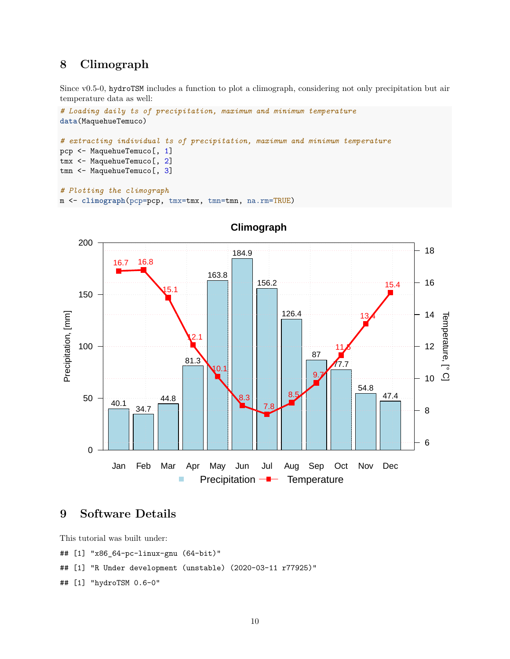### **8 Climograph**

Since v0.5-0, hydroTSM includes a function to plot a climograph, considering not only precipitation but air temperature data as well:

```
# Loading daily ts of precipitation, maximum and minimum temperature
data(MaquehueTemuco)
# extracting individual ts of precipitation, maximum and minimum temperature
pcp <- MaquehueTemuco[, 1]
tmx <- MaquehueTemuco[, 2]
tmn <- MaquehueTemuco[, 3]
# Plotting the climograph
m <- climograph(pcp=pcp, tmx=tmx, tmn=tmn, na.rm=TRUE)
```


**Climograph**

### **9 Software Details**

This tutorial was built under:

## [1] "x86\_64-pc-linux-gnu (64-bit)"

## [1] "R Under development (unstable) (2020-03-11 r77925)"

## [1] "hydroTSM 0.6-0"